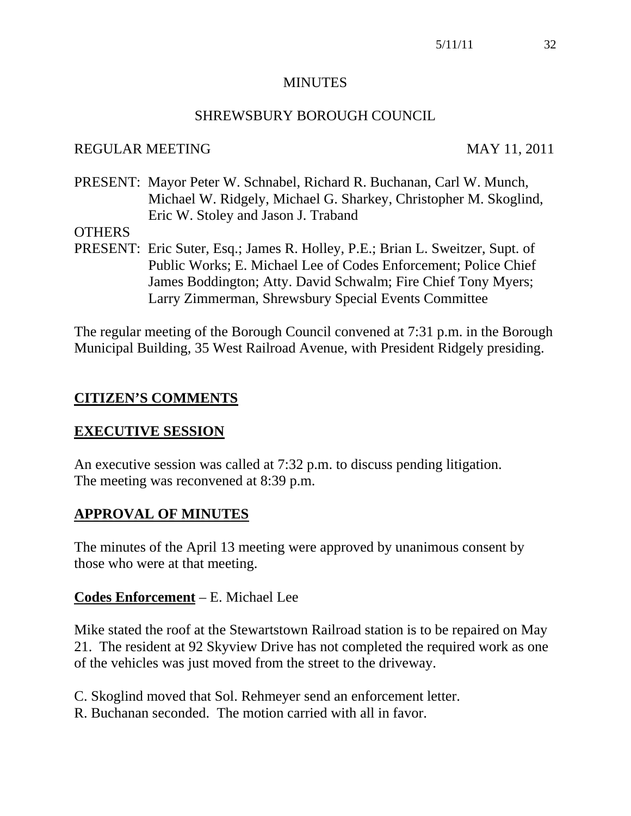#### MINUTES

#### SHREWSBURY BOROUGH COUNCIL

#### REGULAR MEETING MAY 11, 2011

PRESENT: Mayor Peter W. Schnabel, Richard R. Buchanan, Carl W. Munch, Michael W. Ridgely, Michael G. Sharkey, Christopher M. Skoglind, Eric W. Stoley and Jason J. Traband

#### **OTHERS**

PRESENT: Eric Suter, Esq.; James R. Holley, P.E.; Brian L. Sweitzer, Supt. of Public Works; E. Michael Lee of Codes Enforcement; Police Chief James Boddington; Atty. David Schwalm; Fire Chief Tony Myers; Larry Zimmerman, Shrewsbury Special Events Committee

The regular meeting of the Borough Council convened at 7:31 p.m. in the Borough Municipal Building, 35 West Railroad Avenue, with President Ridgely presiding.

#### **CITIZEN'S COMMENTS**

#### **EXECUTIVE SESSION**

An executive session was called at 7:32 p.m. to discuss pending litigation. The meeting was reconvened at 8:39 p.m.

#### **APPROVAL OF MINUTES**

The minutes of the April 13 meeting were approved by unanimous consent by those who were at that meeting.

#### **Codes Enforcement** – E. Michael Lee

Mike stated the roof at the Stewartstown Railroad station is to be repaired on May 21. The resident at 92 Skyview Drive has not completed the required work as one of the vehicles was just moved from the street to the driveway.

- C. Skoglind moved that Sol. Rehmeyer send an enforcement letter.
- R. Buchanan seconded. The motion carried with all in favor.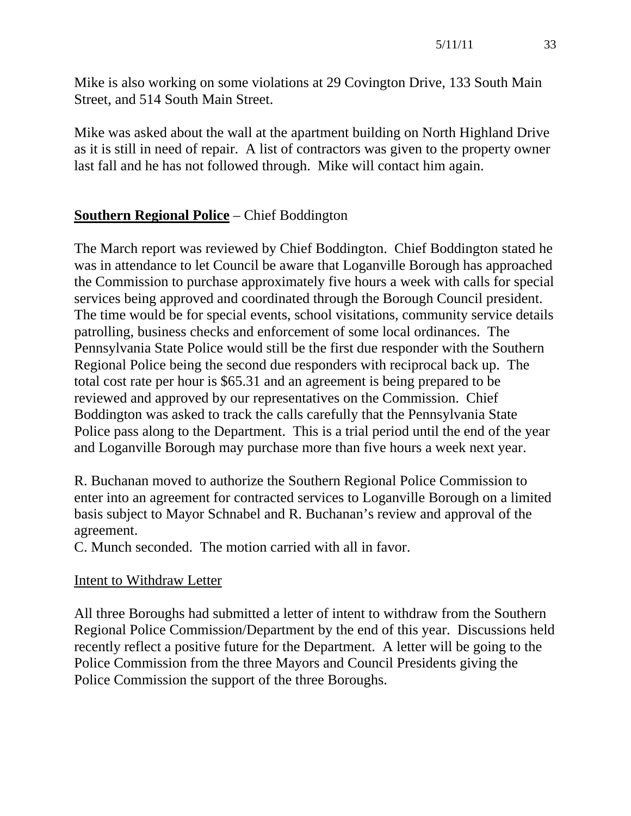Mike is also working on some violations at 29 Covington Drive, 133 South Main Street, and 514 South Main Street.

Mike was asked about the wall at the apartment building on North Highland Drive as it is still in need of repair. A list of contractors was given to the property owner last fall and he has not followed through. Mike will contact him again.

# **Southern Regional Police** – Chief Boddington

The March report was reviewed by Chief Boddington. Chief Boddington stated he was in attendance to let Council be aware that Loganville Borough has approached the Commission to purchase approximately five hours a week with calls for special services being approved and coordinated through the Borough Council president. The time would be for special events, school visitations, community service details patrolling, business checks and enforcement of some local ordinances. The Pennsylvania State Police would still be the first due responder with the Southern Regional Police being the second due responders with reciprocal back up. The total cost rate per hour is \$65.31 and an agreement is being prepared to be reviewed and approved by our representatives on the Commission. Chief Boddington was asked to track the calls carefully that the Pennsylvania State Police pass along to the Department. This is a trial period until the end of the year and Loganville Borough may purchase more than five hours a week next year.

R. Buchanan moved to authorize the Southern Regional Police Commission to enter into an agreement for contracted services to Loganville Borough on a limited basis subject to Mayor Schnabel and R. Buchanan's review and approval of the agreement.

C. Munch seconded. The motion carried with all in favor.

# Intent to Withdraw Letter

All three Boroughs had submitted a letter of intent to withdraw from the Southern Regional Police Commission/Department by the end of this year. Discussions held recently reflect a positive future for the Department. A letter will be going to the Police Commission from the three Mayors and Council Presidents giving the Police Commission the support of the three Boroughs.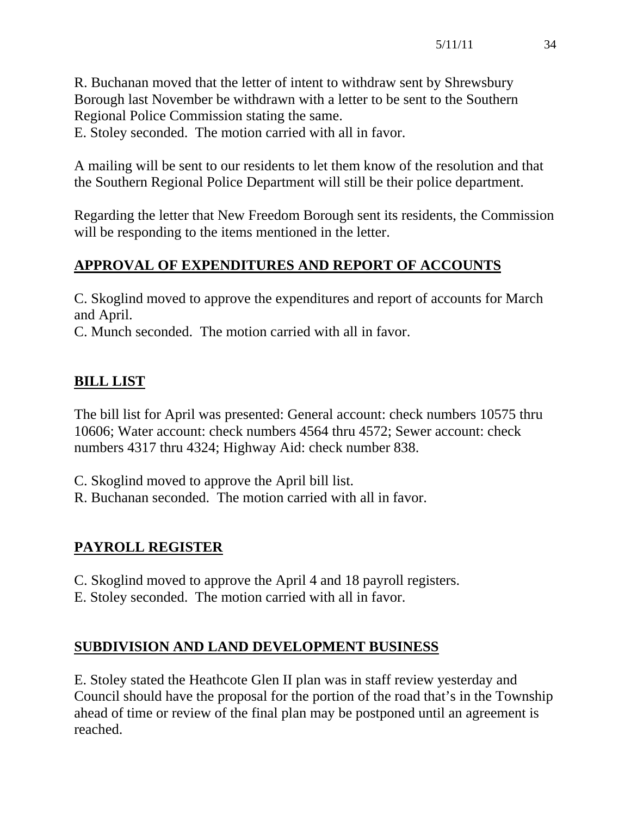R. Buchanan moved that the letter of intent to withdraw sent by Shrewsbury Borough last November be withdrawn with a letter to be sent to the Southern Regional Police Commission stating the same.

E. Stoley seconded. The motion carried with all in favor.

A mailing will be sent to our residents to let them know of the resolution and that the Southern Regional Police Department will still be their police department.

Regarding the letter that New Freedom Borough sent its residents, the Commission will be responding to the items mentioned in the letter.

# **APPROVAL OF EXPENDITURES AND REPORT OF ACCOUNTS**

C. Skoglind moved to approve the expenditures and report of accounts for March and April.

C. Munch seconded. The motion carried with all in favor.

# **BILL LIST**

The bill list for April was presented: General account: check numbers 10575 thru 10606; Water account: check numbers 4564 thru 4572; Sewer account: check numbers 4317 thru 4324; Highway Aid: check number 838.

C. Skoglind moved to approve the April bill list.

R. Buchanan seconded. The motion carried with all in favor.

# **PAYROLL REGISTER**

C. Skoglind moved to approve the April 4 and 18 payroll registers.

E. Stoley seconded. The motion carried with all in favor.

# **SUBDIVISION AND LAND DEVELOPMENT BUSINESS**

E. Stoley stated the Heathcote Glen II plan was in staff review yesterday and Council should have the proposal for the portion of the road that's in the Township ahead of time or review of the final plan may be postponed until an agreement is reached.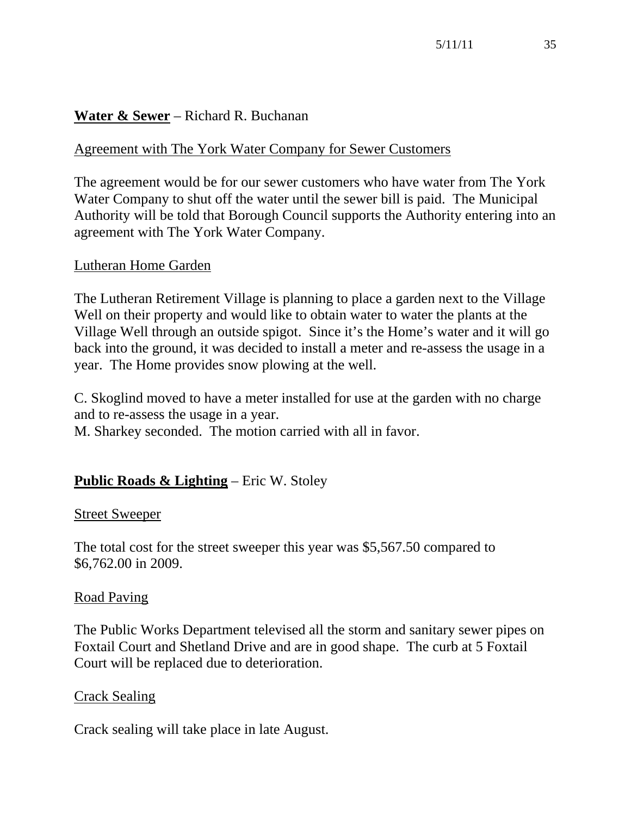# **Water & Sewer** – Richard R. Buchanan

#### Agreement with The York Water Company for Sewer Customers

The agreement would be for our sewer customers who have water from The York Water Company to shut off the water until the sewer bill is paid. The Municipal Authority will be told that Borough Council supports the Authority entering into an agreement with The York Water Company.

#### Lutheran Home Garden

The Lutheran Retirement Village is planning to place a garden next to the Village Well on their property and would like to obtain water to water the plants at the Village Well through an outside spigot. Since it's the Home's water and it will go back into the ground, it was decided to install a meter and re-assess the usage in a year. The Home provides snow plowing at the well.

C. Skoglind moved to have a meter installed for use at the garden with no charge and to re-assess the usage in a year.

M. Sharkey seconded. The motion carried with all in favor.

#### **Public Roads & Lighting** – Eric W. Stoley

#### Street Sweeper

The total cost for the street sweeper this year was \$5,567.50 compared to \$6,762.00 in 2009.

#### Road Paving

The Public Works Department televised all the storm and sanitary sewer pipes on Foxtail Court and Shetland Drive and are in good shape. The curb at 5 Foxtail Court will be replaced due to deterioration.

#### Crack Sealing

Crack sealing will take place in late August.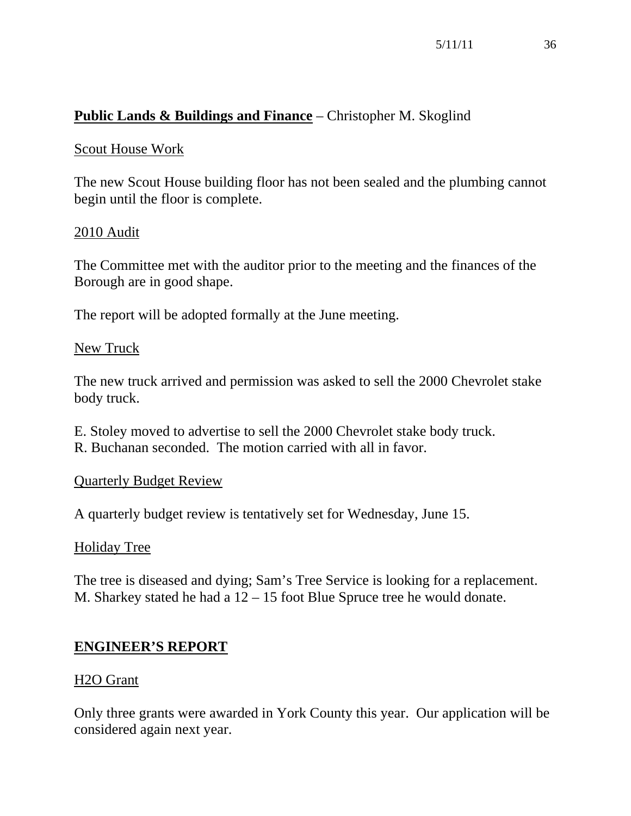# **Public Lands & Buildings and Finance** – Christopher M. Skoglind

#### Scout House Work

The new Scout House building floor has not been sealed and the plumbing cannot begin until the floor is complete.

#### 2010 Audit

The Committee met with the auditor prior to the meeting and the finances of the Borough are in good shape.

The report will be adopted formally at the June meeting.

#### New Truck

The new truck arrived and permission was asked to sell the 2000 Chevrolet stake body truck.

E. Stoley moved to advertise to sell the 2000 Chevrolet stake body truck. R. Buchanan seconded. The motion carried with all in favor.

#### Quarterly Budget Review

A quarterly budget review is tentatively set for Wednesday, June 15.

#### Holiday Tree

The tree is diseased and dying; Sam's Tree Service is looking for a replacement. M. Sharkey stated he had a 12 – 15 foot Blue Spruce tree he would donate.

#### **ENGINEER'S REPORT**

#### H2O Grant

Only three grants were awarded in York County this year. Our application will be considered again next year.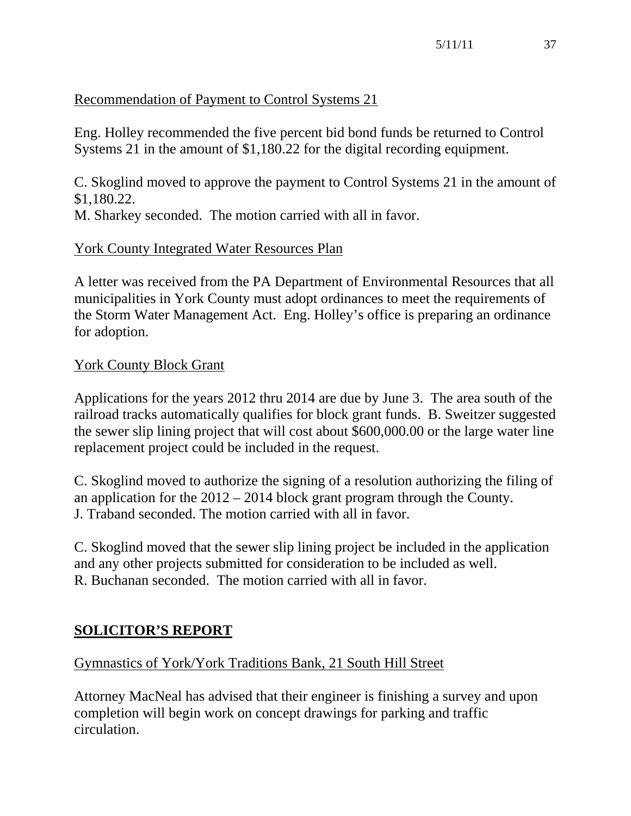# Recommendation of Payment to Control Systems 21

Eng. Holley recommended the five percent bid bond funds be returned to Control Systems 21 in the amount of \$1,180.22 for the digital recording equipment.

C. Skoglind moved to approve the payment to Control Systems 21 in the amount of \$1,180.22.

M. Sharkey seconded. The motion carried with all in favor.

# York County Integrated Water Resources Plan

A letter was received from the PA Department of Environmental Resources that all municipalities in York County must adopt ordinances to meet the requirements of the Storm Water Management Act. Eng. Holley's office is preparing an ordinance for adoption.

## York County Block Grant

Applications for the years 2012 thru 2014 are due by June 3. The area south of the railroad tracks automatically qualifies for block grant funds. B. Sweitzer suggested the sewer slip lining project that will cost about \$600,000.00 or the large water line replacement project could be included in the request.

C. Skoglind moved to authorize the signing of a resolution authorizing the filing of an application for the 2012 – 2014 block grant program through the County. J. Traband seconded. The motion carried with all in favor.

C. Skoglind moved that the sewer slip lining project be included in the application and any other projects submitted for consideration to be included as well. R. Buchanan seconded. The motion carried with all in favor.

# **SOLICITOR'S REPORT**

# Gymnastics of York/York Traditions Bank, 21 South Hill Street

Attorney MacNeal has advised that their engineer is finishing a survey and upon completion will begin work on concept drawings for parking and traffic circulation.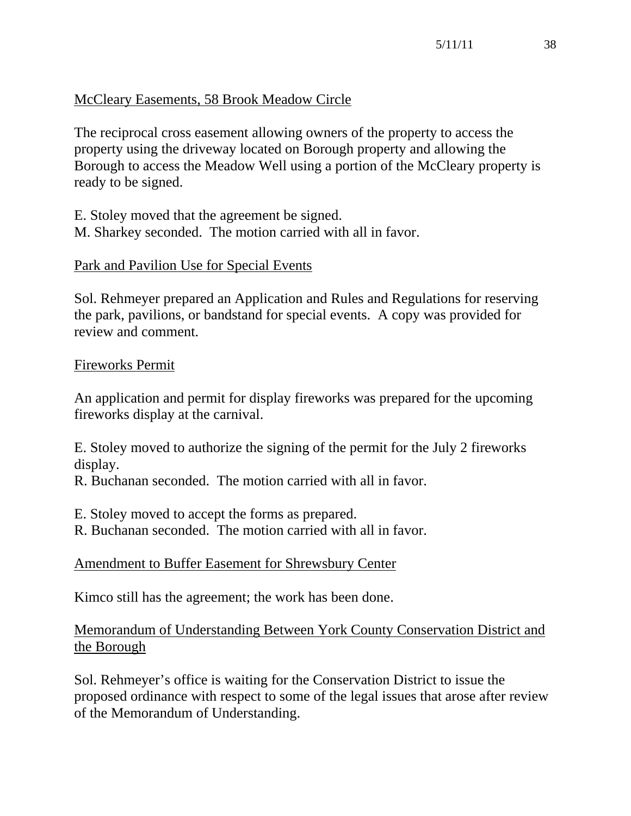# McCleary Easements, 58 Brook Meadow Circle

The reciprocal cross easement allowing owners of the property to access the property using the driveway located on Borough property and allowing the Borough to access the Meadow Well using a portion of the McCleary property is ready to be signed.

E. Stoley moved that the agreement be signed. M. Sharkey seconded. The motion carried with all in favor.

#### Park and Pavilion Use for Special Events

Sol. Rehmeyer prepared an Application and Rules and Regulations for reserving the park, pavilions, or bandstand for special events. A copy was provided for review and comment.

#### Fireworks Permit

An application and permit for display fireworks was prepared for the upcoming fireworks display at the carnival.

E. Stoley moved to authorize the signing of the permit for the July 2 fireworks display.

R. Buchanan seconded. The motion carried with all in favor.

E. Stoley moved to accept the forms as prepared.

R. Buchanan seconded. The motion carried with all in favor.

#### Amendment to Buffer Easement for Shrewsbury Center

Kimco still has the agreement; the work has been done.

## Memorandum of Understanding Between York County Conservation District and the Borough

Sol. Rehmeyer's office is waiting for the Conservation District to issue the proposed ordinance with respect to some of the legal issues that arose after review of the Memorandum of Understanding.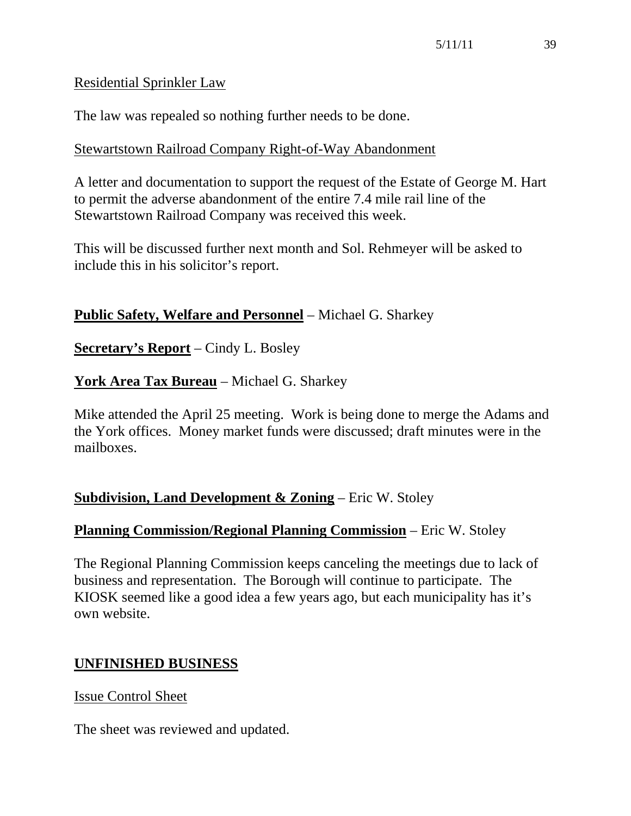#### Residential Sprinkler Law

The law was repealed so nothing further needs to be done.

#### Stewartstown Railroad Company Right-of-Way Abandonment

A letter and documentation to support the request of the Estate of George M. Hart to permit the adverse abandonment of the entire 7.4 mile rail line of the Stewartstown Railroad Company was received this week.

This will be discussed further next month and Sol. Rehmeyer will be asked to include this in his solicitor's report.

## **Public Safety, Welfare and Personnel** – Michael G. Sharkey

**Secretary's Report** – Cindy L. Bosley

# **York Area Tax Bureau** – Michael G. Sharkey

Mike attended the April 25 meeting. Work is being done to merge the Adams and the York offices. Money market funds were discussed; draft minutes were in the mailboxes.

# **Subdivision, Land Development & Zoning** – Eric W. Stoley

# **Planning Commission/Regional Planning Commission** – Eric W. Stoley

The Regional Planning Commission keeps canceling the meetings due to lack of business and representation. The Borough will continue to participate. The KIOSK seemed like a good idea a few years ago, but each municipality has it's own website.

# **UNFINISHED BUSINESS**

#### Issue Control Sheet

The sheet was reviewed and updated.